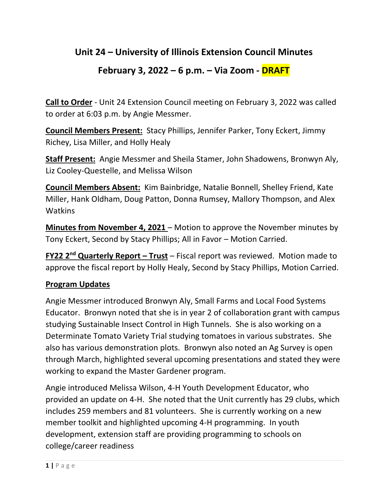## **Unit 24 – University of Illinois Extension Council Minutes**

# **February 3, 2022 – 6 p.m. – Via Zoom - DRAFT**

**Call to Order** - Unit 24 Extension Council meeting on February 3, 2022 was called to order at 6:03 p.m. by Angie Messmer.

**Council Members Present:** Stacy Phillips, Jennifer Parker, Tony Eckert, Jimmy Richey, Lisa Miller, and Holly Healy

**Staff Present:** Angie Messmer and Sheila Stamer, John Shadowens, Bronwyn Aly, Liz Cooley-Questelle, and Melissa Wilson

**Council Members Absent:** Kim Bainbridge, Natalie Bonnell, Shelley Friend, Kate Miller, Hank Oldham, Doug Patton, Donna Rumsey, Mallory Thompson, and Alex **Watkins** 

**Minutes from November 4, 2021** – Motion to approve the November minutes by Tony Eckert, Second by Stacy Phillips; All in Favor – Motion Carried.

**FY22 2nd Quarterly Report – Trust** – Fiscal report was reviewed. Motion made to approve the fiscal report by Holly Healy, Second by Stacy Phillips, Motion Carried.

### **Program Updates**

Angie Messmer introduced Bronwyn Aly, Small Farms and Local Food Systems Educator. Bronwyn noted that she is in year 2 of collaboration grant with campus studying Sustainable Insect Control in High Tunnels. She is also working on a Determinate Tomato Variety Trial studying tomatoes in various substrates. She also has various demonstration plots. Bronwyn also noted an Ag Survey is open through March, highlighted several upcoming presentations and stated they were working to expand the Master Gardener program.

Angie introduced Melissa Wilson, 4-H Youth Development Educator, who provided an update on 4-H. She noted that the Unit currently has 29 clubs, which includes 259 members and 81 volunteers. She is currently working on a new member toolkit and highlighted upcoming 4-H programming. In youth development, extension staff are providing programming to schools on college/career readiness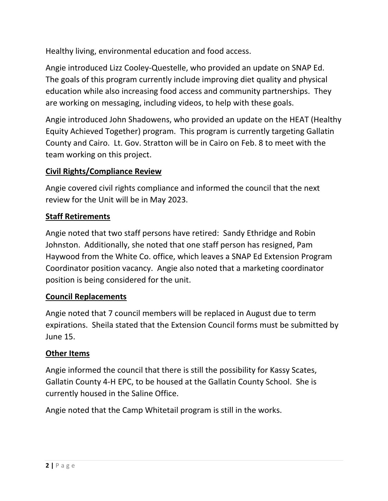Healthy living, environmental education and food access.

Angie introduced Lizz Cooley-Questelle, who provided an update on SNAP Ed. The goals of this program currently include improving diet quality and physical education while also increasing food access and community partnerships. They are working on messaging, including videos, to help with these goals.

Angie introduced John Shadowens, who provided an update on the HEAT (Healthy Equity Achieved Together) program. This program is currently targeting Gallatin County and Cairo. Lt. Gov. Stratton will be in Cairo on Feb. 8 to meet with the team working on this project.

## **Civil Rights/Compliance Review**

Angie covered civil rights compliance and informed the council that the next review for the Unit will be in May 2023.

## **Staff Retirements**

Angie noted that two staff persons have retired: Sandy Ethridge and Robin Johnston. Additionally, she noted that one staff person has resigned, Pam Haywood from the White Co. office, which leaves a SNAP Ed Extension Program Coordinator position vacancy. Angie also noted that a marketing coordinator position is being considered for the unit.

### **Council Replacements**

Angie noted that 7 council members will be replaced in August due to term expirations. Sheila stated that the Extension Council forms must be submitted by June 15.

### **Other Items**

Angie informed the council that there is still the possibility for Kassy Scates, Gallatin County 4-H EPC, to be housed at the Gallatin County School. She is currently housed in the Saline Office.

Angie noted that the Camp Whitetail program is still in the works.